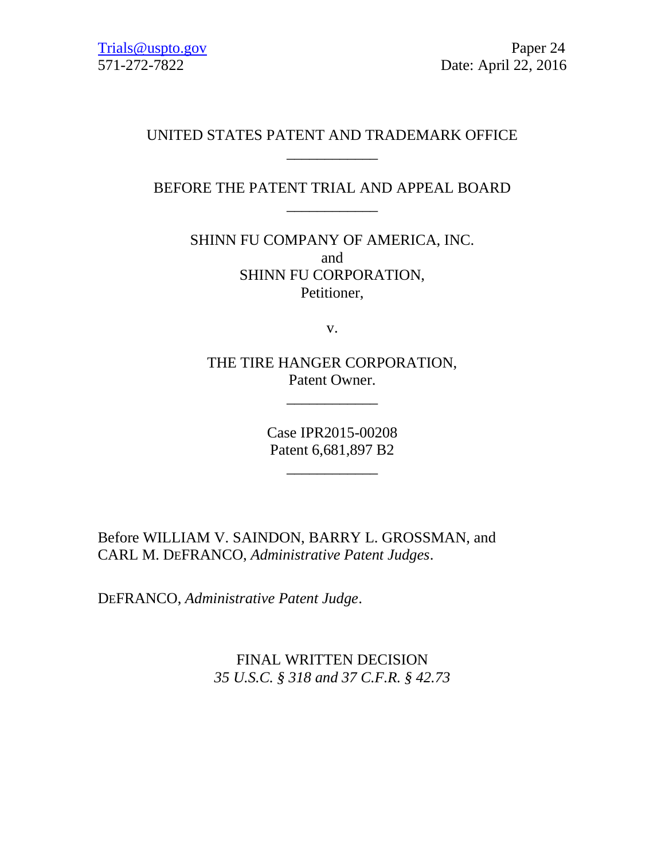# UNITED STATES PATENT AND TRADEMARK OFFICE \_\_\_\_\_\_\_\_\_\_\_\_

# BEFORE THE PATENT TRIAL AND APPEAL BOARD \_\_\_\_\_\_\_\_\_\_\_\_

SHINN FU COMPANY OF AMERICA, INC. and SHINN FU CORPORATION, Petitioner,

v.

THE TIRE HANGER CORPORATION, Patent Owner.

\_\_\_\_\_\_\_\_\_\_\_\_

Case IPR2015-00208 Patent 6,681,897 B2

\_\_\_\_\_\_\_\_\_\_\_\_

Before WILLIAM V. SAINDON, BARRY L. GROSSMAN, and CARL M. DEFRANCO, *Administrative Patent Judges*.

DEFRANCO, *Administrative Patent Judge*.

FINAL WRITTEN DECISION *35 U.S.C. § 318 and 37 C.F.R. § 42.73*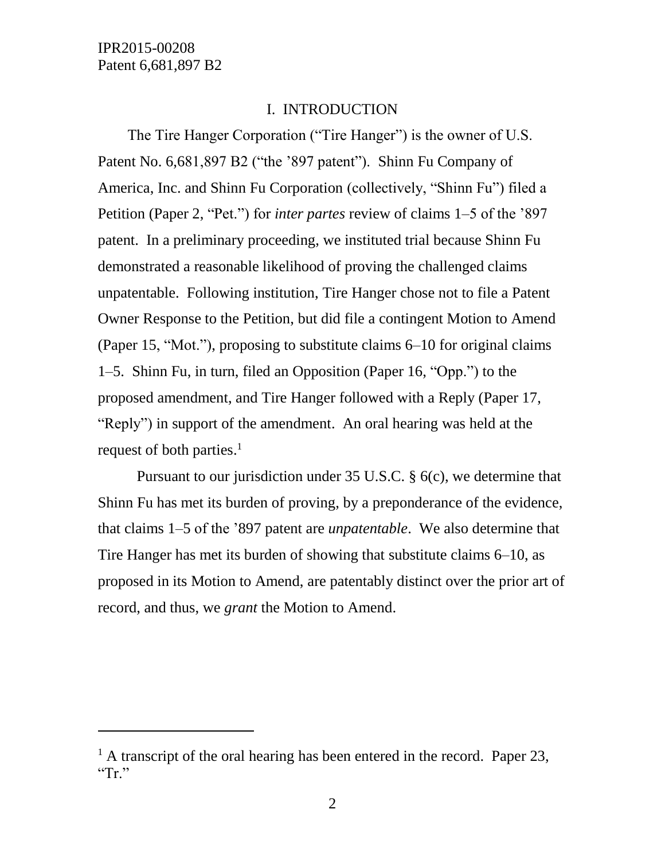l

#### I. INTRODUCTION

The Tire Hanger Corporation ("Tire Hanger") is the owner of U.S. Patent No. 6,681,897 B2 ("the '897 patent"). Shinn Fu Company of America, Inc. and Shinn Fu Corporation (collectively, "Shinn Fu") filed a Petition (Paper 2, "Pet.") for *inter partes* review of claims 1–5 of the '897 patent. In a preliminary proceeding, we instituted trial because Shinn Fu demonstrated a reasonable likelihood of proving the challenged claims unpatentable. Following institution, Tire Hanger chose not to file a Patent Owner Response to the Petition, but did file a contingent Motion to Amend (Paper 15, "Mot."), proposing to substitute claims 6–10 for original claims 1–5. Shinn Fu, in turn, filed an Opposition (Paper 16, "Opp.") to the proposed amendment, and Tire Hanger followed with a Reply (Paper 17, "Reply") in support of the amendment. An oral hearing was held at the request of both parties. 1

Pursuant to our jurisdiction under 35 U.S.C. § 6(c), we determine that Shinn Fu has met its burden of proving, by a preponderance of the evidence, that claims 1–5 of the '897 patent are *unpatentable*. We also determine that Tire Hanger has met its burden of showing that substitute claims 6–10, as proposed in its Motion to Amend, are patentably distinct over the prior art of record, and thus, we *grant* the Motion to Amend.

 $<sup>1</sup>$  A transcript of the oral hearing has been entered in the record. Paper 23,</sup> " $Tr.$ "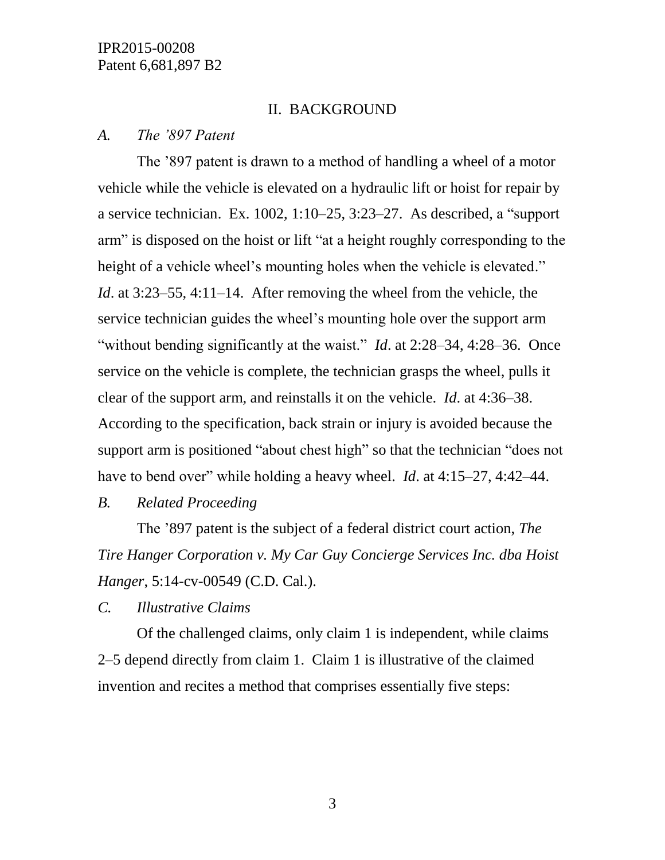#### II. BACKGROUND

#### *A. The '897 Patent*

The '897 patent is drawn to a method of handling a wheel of a motor vehicle while the vehicle is elevated on a hydraulic lift or hoist for repair by a service technician. Ex. 1002, 1:10–25, 3:23–27. As described, a "support arm" is disposed on the hoist or lift "at a height roughly corresponding to the height of a vehicle wheel's mounting holes when the vehicle is elevated." *Id*. at 3:23–55, 4:11–14. After removing the wheel from the vehicle, the service technician guides the wheel's mounting hole over the support arm "without bending significantly at the waist." *Id.* at 2:28–34, 4:28–36. Once service on the vehicle is complete, the technician grasps the wheel, pulls it clear of the support arm, and reinstalls it on the vehicle. *Id*. at 4:36–38. According to the specification, back strain or injury is avoided because the support arm is positioned "about chest high" so that the technician "does not have to bend over" while holding a heavy wheel. *Id*. at 4:15–27, 4:42–44.

*B. Related Proceeding*

The '897 patent is the subject of a federal district court action, *The Tire Hanger Corporation v. My Car Guy Concierge Services Inc. dba Hoist Hanger*, 5:14-cv-00549 (C.D. Cal.).

*C. Illustrative Claims*

Of the challenged claims, only claim 1 is independent, while claims 2–5 depend directly from claim 1. Claim 1 is illustrative of the claimed invention and recites a method that comprises essentially five steps: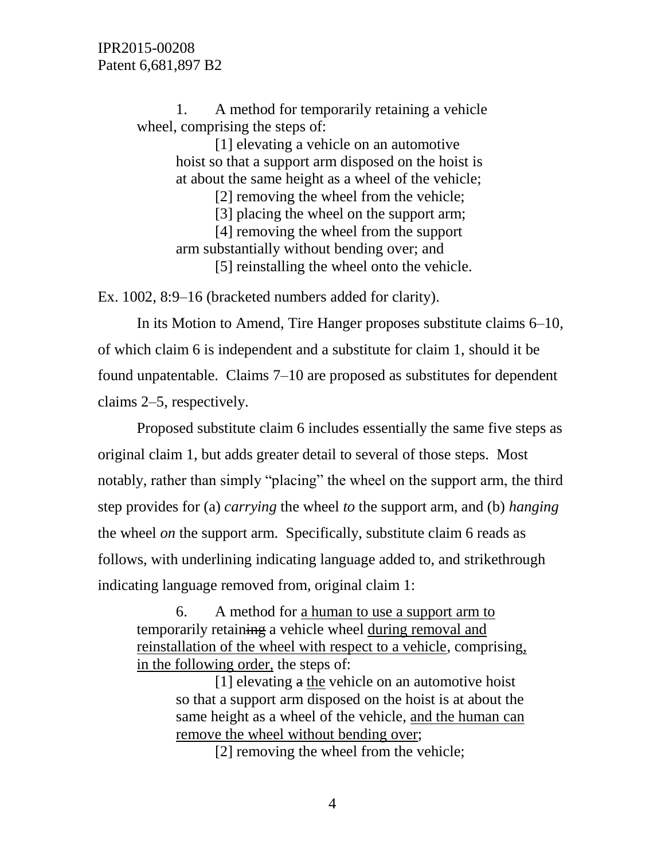1. A method for temporarily retaining a vehicle wheel, comprising the steps of:

> [1] elevating a vehicle on an automotive hoist so that a support arm disposed on the hoist is at about the same height as a wheel of the vehicle;

[2] removing the wheel from the vehicle;

[3] placing the wheel on the support arm;

[4] removing the wheel from the support

arm substantially without bending over; and [5] reinstalling the wheel onto the vehicle.

Ex. 1002, 8:9–16 (bracketed numbers added for clarity).

In its Motion to Amend, Tire Hanger proposes substitute claims 6–10, of which claim 6 is independent and a substitute for claim 1, should it be found unpatentable. Claims 7–10 are proposed as substitutes for dependent claims 2–5, respectively.

Proposed substitute claim 6 includes essentially the same five steps as original claim 1, but adds greater detail to several of those steps. Most notably, rather than simply "placing" the wheel on the support arm, the third step provides for (a) *carrying* the wheel *to* the support arm, and (b) *hanging* the wheel *on* the support arm. Specifically, substitute claim 6 reads as follows, with underlining indicating language added to, and strikethrough indicating language removed from, original claim 1:

6. A method for a human to use a support arm to temporarily retaining a vehicle wheel during removal and reinstallation of the wheel with respect to a vehicle, comprising, in the following order, the steps of:

[1] elevating a the vehicle on an automotive hoist so that a support arm disposed on the hoist is at about the same height as a wheel of the vehicle, and the human can remove the wheel without bending over;

[2] removing the wheel from the vehicle;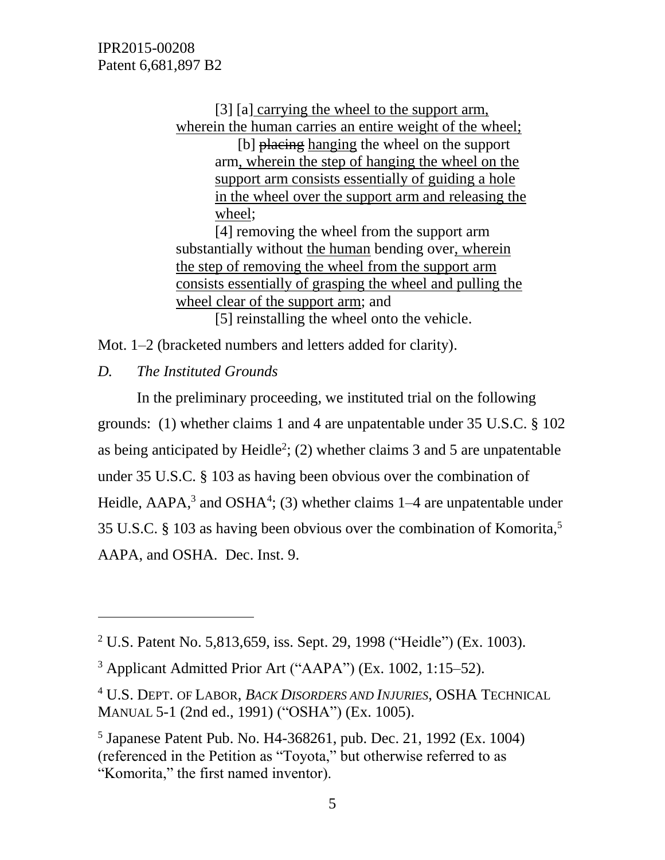[3] [a] carrying the wheel to the support arm, wherein the human carries an entire weight of the wheel;

[b] placing hanging the wheel on the support arm, wherein the step of hanging the wheel on the support arm consists essentially of guiding a hole in the wheel over the support arm and releasing the wheel;

[4] removing the wheel from the support arm substantially without the human bending over, wherein the step of removing the wheel from the support arm consists essentially of grasping the wheel and pulling the wheel clear of the support arm; and [5] reinstalling the wheel onto the vehicle.

Mot. 1–2 (bracketed numbers and letters added for clarity).

*D. The Instituted Grounds*

 $\overline{a}$ 

In the preliminary proceeding, we instituted trial on the following grounds: (1) whether claims 1 and 4 are unpatentable under 35 U.S.C. § 102 as being anticipated by Heidle<sup>2</sup>; (2) whether claims 3 and 5 are unpatentable under 35 U.S.C. § 103 as having been obvious over the combination of Heidle,  $AAPA$ ,<sup>3</sup> and  $OSHA$ <sup>4</sup>; (3) whether claims  $1-4$  are unpatentable under 35 U.S.C. § 103 as having been obvious over the combination of Komorita,<sup>5</sup> AAPA, and OSHA. Dec. Inst. 9.

<sup>2</sup> U.S. Patent No. 5,813,659, iss. Sept. 29, 1998 ("Heidle") (Ex. 1003).

 $3$  Applicant Admitted Prior Art ("AAPA") (Ex. 1002, 1:15–52).

<sup>4</sup> U.S. DEPT. OF LABOR, *BACK DISORDERS AND INJURIES*, OSHA TECHNICAL MANUAL 5-1 (2nd ed., 1991) ("OSHA") (Ex. 1005).

<sup>5</sup> Japanese Patent Pub. No. H4-368261, pub. Dec. 21, 1992 (Ex. 1004) (referenced in the Petition as "Toyota," but otherwise referred to as "Komorita," the first named inventor).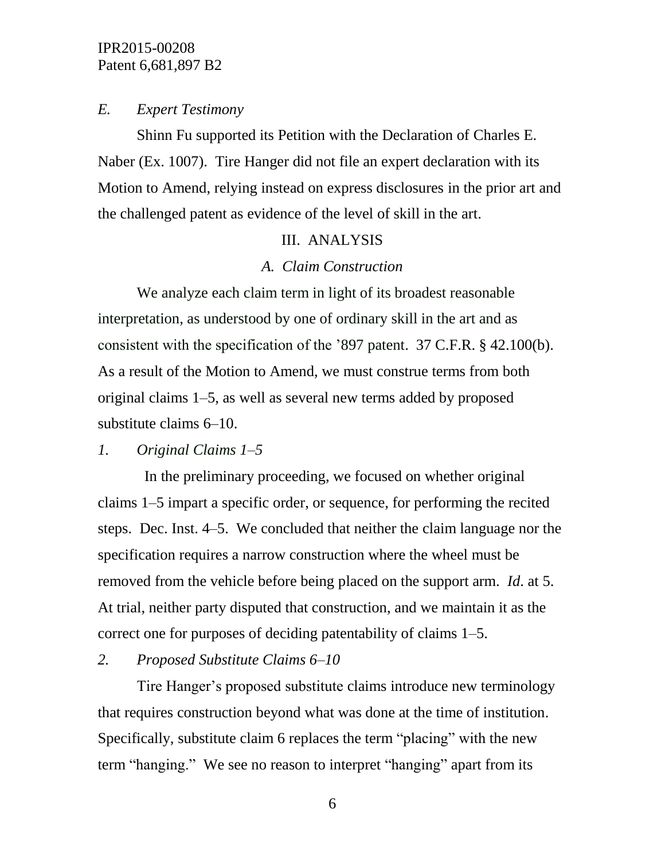## *E. Expert Testimony*

Shinn Fu supported its Petition with the Declaration of Charles E. Naber (Ex. 1007). Tire Hanger did not file an expert declaration with its Motion to Amend, relying instead on express disclosures in the prior art and the challenged patent as evidence of the level of skill in the art.

#### III. ANALYSIS

## *A. Claim Construction*

We analyze each claim term in light of its broadest reasonable interpretation, as understood by one of ordinary skill in the art and as consistent with the specification of the '897 patent. 37 C.F.R. § 42.100(b). As a result of the Motion to Amend, we must construe terms from both original claims 1–5, as well as several new terms added by proposed substitute claims 6–10.

# *1. Original Claims 1–5*

 In the preliminary proceeding, we focused on whether original claims 1–5 impart a specific order, or sequence, for performing the recited steps. Dec. Inst. 4–5. We concluded that neither the claim language nor the specification requires a narrow construction where the wheel must be removed from the vehicle before being placed on the support arm. *Id*. at 5. At trial, neither party disputed that construction, and we maintain it as the correct one for purposes of deciding patentability of claims 1–5.

# *2. Proposed Substitute Claims 6–10*

Tire Hanger's proposed substitute claims introduce new terminology that requires construction beyond what was done at the time of institution. Specifically, substitute claim 6 replaces the term "placing" with the new term "hanging." We see no reason to interpret "hanging" apart from its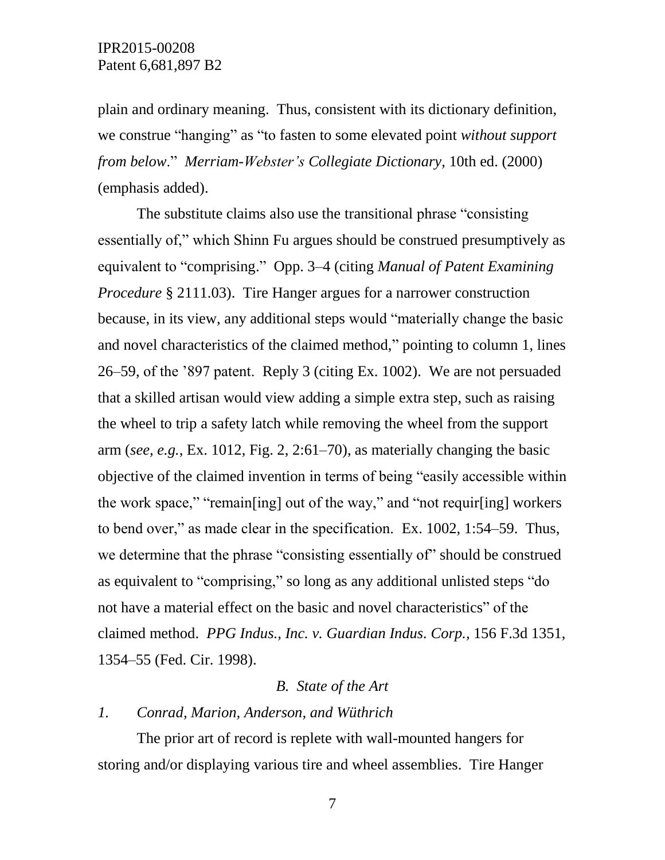plain and ordinary meaning. Thus, consistent with its dictionary definition, we construe "hanging" as "to fasten to some elevated point *without support from below*." *Merriam-Webster's Collegiate Dictionary*, 10th ed. (2000) (emphasis added).

The substitute claims also use the transitional phrase "consisting essentially of," which Shinn Fu argues should be construed presumptively as equivalent to "comprising." Opp. 3–4 (citing *Manual of Patent Examining Procedure* § 2111.03). Tire Hanger argues for a narrower construction because, in its view, any additional steps would "materially change the basic and novel characteristics of the claimed method," pointing to column 1, lines 26–59, of the '897 patent. Reply 3 (citing Ex. 1002). We are not persuaded that a skilled artisan would view adding a simple extra step, such as raising the wheel to trip a safety latch while removing the wheel from the support arm (*see, e.g.*, Ex. 1012, Fig. 2, 2:61–70), as materially changing the basic objective of the claimed invention in terms of being "easily accessible within the work space," "remain[ing] out of the way," and "not requir[ing] workers to bend over," as made clear in the specification. Ex. 1002, 1:54–59. Thus, we determine that the phrase "consisting essentially of" should be construed as equivalent to "comprising," so long as any additional unlisted steps "do not have a material effect on the basic and novel characteristics" of the claimed method. *PPG Indus., Inc. v. Guardian Indus. Corp.,* 156 F.3d 1351, 1354–55 (Fed. Cir. 1998).

#### *B. State of the Art*

#### *1. Conrad, Marion, Anderson, and Wüthrich*

The prior art of record is replete with wall-mounted hangers for storing and/or displaying various tire and wheel assemblies. Tire Hanger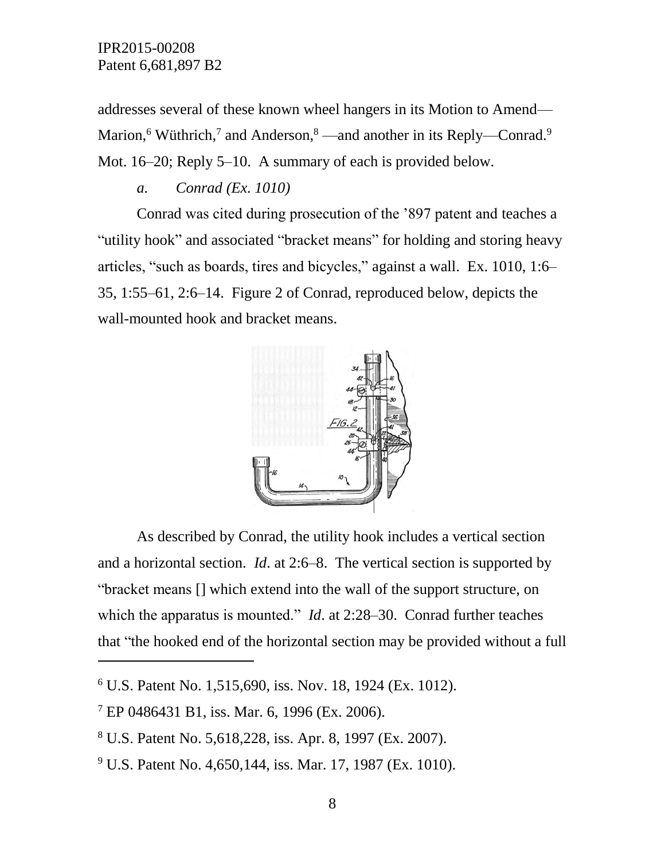addresses several of these known wheel hangers in its Motion to Amend— Marion,<sup>6</sup> Wüthrich,<sup>7</sup> and Anderson,<sup>8</sup> —and another in its Reply—Conrad.<sup>9</sup> Mot. 16–20; Reply 5–10. A summary of each is provided below.

*a. Conrad (Ex. 1010)* 

Conrad was cited during prosecution of the '897 patent and teaches a "utility hook" and associated "bracket means" for holding and storing heavy articles, "such as boards, tires and bicycles," against a wall. Ex. 1010, 1:6– 35, 1:55–61, 2:6–14. Figure 2 of Conrad, reproduced below, depicts the wall-mounted hook and bracket means.



As described by Conrad, the utility hook includes a vertical section and a horizontal section. *Id*. at 2:6–8. The vertical section is supported by "bracket means [] which extend into the wall of the support structure, on which the apparatus is mounted." *Id*. at 2:28–30. Conrad further teaches that "the hooked end of the horizontal section may be provided without a full

 $\overline{a}$ 

<sup>9</sup> U.S. Patent No. 4,650,144, iss. Mar. 17, 1987 (Ex. 1010).

 $6$  U.S. Patent No. 1,515,690, iss. Nov. 18, 1924 (Ex. 1012).

 $7$  EP 0486431 B1, iss. Mar. 6, 1996 (Ex. 2006).

<sup>8</sup> U.S. Patent No. 5,618,228, iss. Apr. 8, 1997 (Ex. 2007).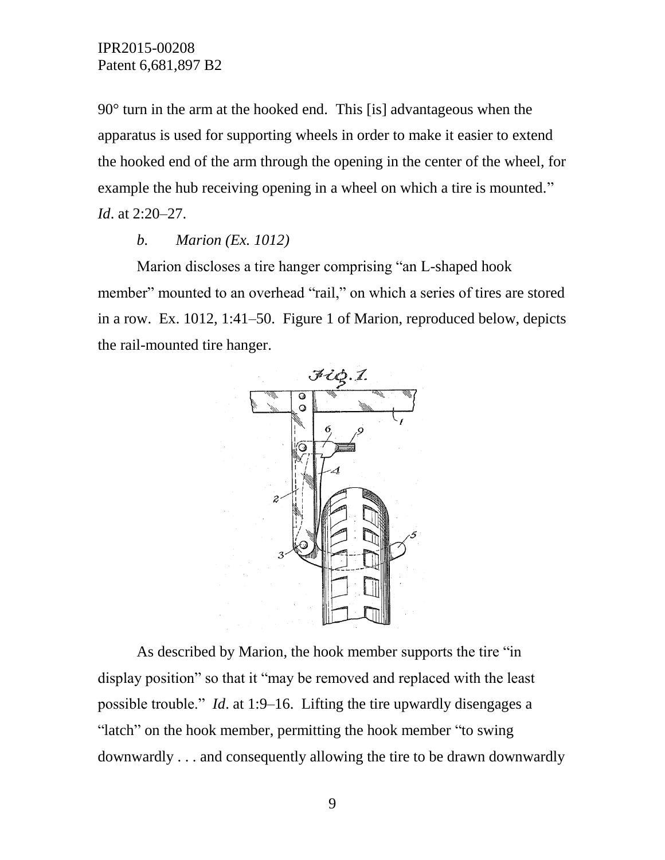90° turn in the arm at the hooked end. This [is] advantageous when the apparatus is used for supporting wheels in order to make it easier to extend the hooked end of the arm through the opening in the center of the wheel, for example the hub receiving opening in a wheel on which a tire is mounted." *Id*. at 2:20–27.

## *b. Marion (Ex. 1012)*

Marion discloses a tire hanger comprising "an L-shaped hook member" mounted to an overhead "rail," on which a series of tires are stored in a row. Ex. 1012, 1:41–50. Figure 1 of Marion, reproduced below, depicts the rail-mounted tire hanger.



As described by Marion, the hook member supports the tire "in display position" so that it "may be removed and replaced with the least possible trouble." *Id*. at 1:9–16. Lifting the tire upwardly disengages a "latch" on the hook member, permitting the hook member "to swing downwardly . . . and consequently allowing the tire to be drawn downwardly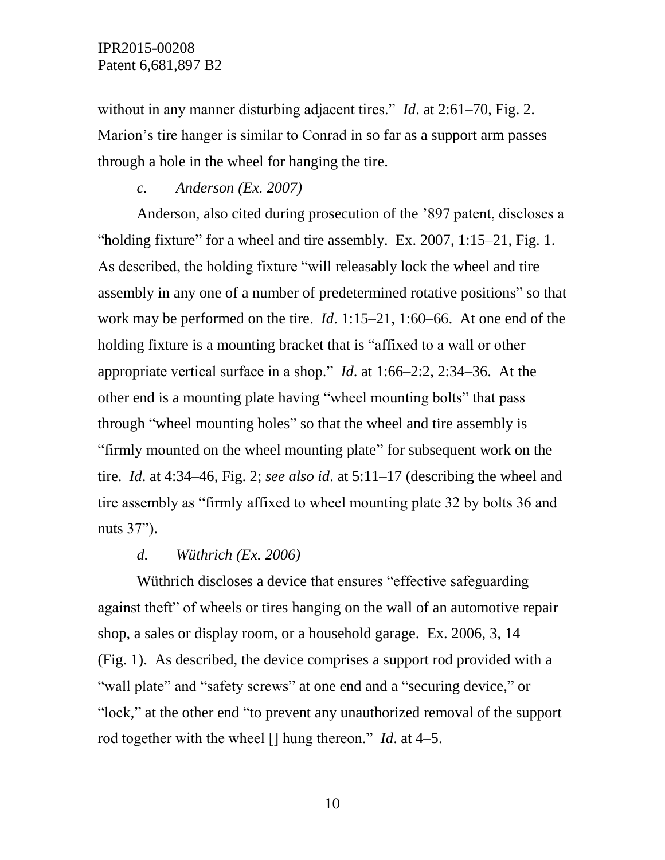without in any manner disturbing adjacent tires." *Id.* at 2:61–70, Fig. 2. Marion's tire hanger is similar to Conrad in so far as a support arm passes through a hole in the wheel for hanging the tire.

*c. Anderson (Ex. 2007)*

Anderson, also cited during prosecution of the '897 patent, discloses a "holding fixture" for a wheel and tire assembly. Ex. 2007,  $1:15-21$ , Fig. 1. As described, the holding fixture "will releasably lock the wheel and tire assembly in any one of a number of predetermined rotative positions" so that work may be performed on the tire. *Id*. 1:15–21, 1:60–66. At one end of the holding fixture is a mounting bracket that is "affixed to a wall or other appropriate vertical surface in a shop." *Id*. at 1:66–2:2, 2:34–36. At the other end is a mounting plate having "wheel mounting bolts" that pass through "wheel mounting holes" so that the wheel and tire assembly is "firmly mounted on the wheel mounting plate" for subsequent work on the tire. *Id*. at 4:34–46, Fig. 2; *see also id*. at 5:11–17 (describing the wheel and tire assembly as "firmly affixed to wheel mounting plate 32 by bolts 36 and nuts 37").

#### *d. Wüthrich (Ex. 2006)*

Wüthrich discloses a device that ensures "effective safeguarding against theft" of wheels or tires hanging on the wall of an automotive repair shop, a sales or display room, or a household garage. Ex. 2006, 3, 14 (Fig. 1). As described, the device comprises a support rod provided with a "wall plate" and "safety screws" at one end and a "securing device," or "lock," at the other end "to prevent any unauthorized removal of the support rod together with the wheel [] hung thereon." *Id*. at 4–5.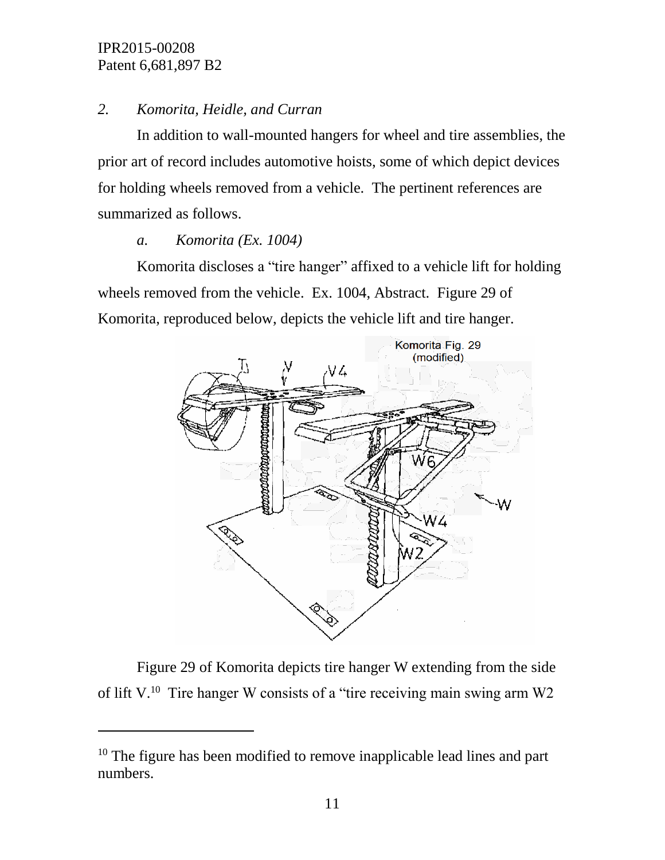l

# *2. Komorita, Heidle, and Curran*

In addition to wall-mounted hangers for wheel and tire assemblies, the prior art of record includes automotive hoists, some of which depict devices for holding wheels removed from a vehicle. The pertinent references are summarized as follows.

# *a. Komorita (Ex. 1004)*

Komorita discloses a "tire hanger" affixed to a vehicle lift for holding wheels removed from the vehicle. Ex. 1004, Abstract. Figure 29 of Komorita, reproduced below, depicts the vehicle lift and tire hanger.



Figure 29 of Komorita depicts tire hanger W extending from the side of lift V.<sup>10</sup> Tire hanger W consists of a "tire receiving main swing arm W2

<sup>&</sup>lt;sup>10</sup> The figure has been modified to remove inapplicable lead lines and part numbers.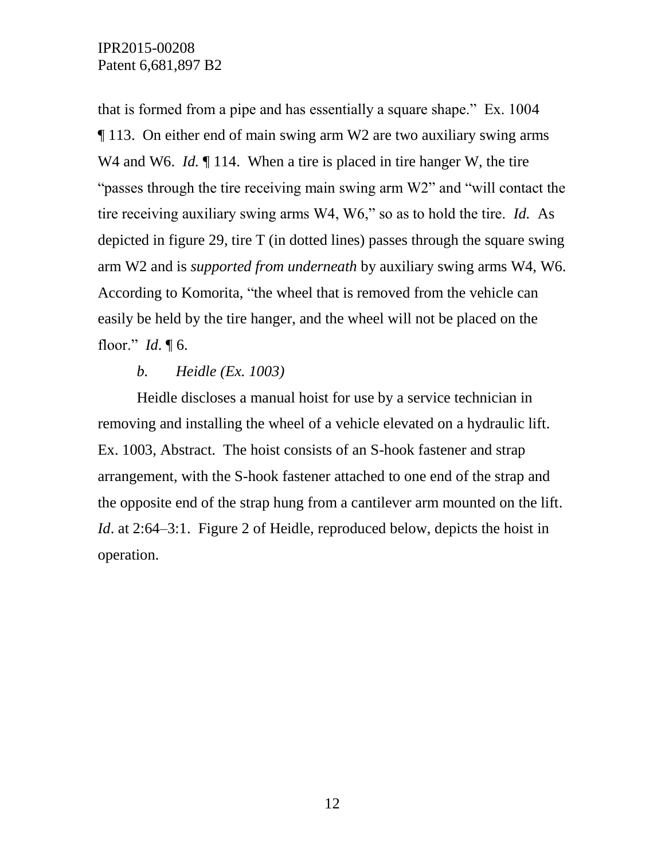that is formed from a pipe and has essentially a square shape." Ex. 1004 ¶ 113. On either end of main swing arm W2 are two auxiliary swing arms W<sub>4</sub> and W<sub>6</sub>. *Id.* 114. When a tire is placed in tire hanger W, the tire "passes through the tire receiving main swing arm W2" and "will contact the tire receiving auxiliary swing arms W4, W6," so as to hold the tire. *Id.* As depicted in figure 29, tire T (in dotted lines) passes through the square swing arm W2 and is *supported from underneath* by auxiliary swing arms W4, W6. According to Komorita, "the wheel that is removed from the vehicle can easily be held by the tire hanger, and the wheel will not be placed on the floor." *Id*. ¶ 6.

## *b. Heidle (Ex. 1003)*

Heidle discloses a manual hoist for use by a service technician in removing and installing the wheel of a vehicle elevated on a hydraulic lift. Ex. 1003, Abstract. The hoist consists of an S-hook fastener and strap arrangement, with the S-hook fastener attached to one end of the strap and the opposite end of the strap hung from a cantilever arm mounted on the lift. *Id.* at 2:64–3:1. Figure 2 of Heidle, reproduced below, depicts the hoist in operation.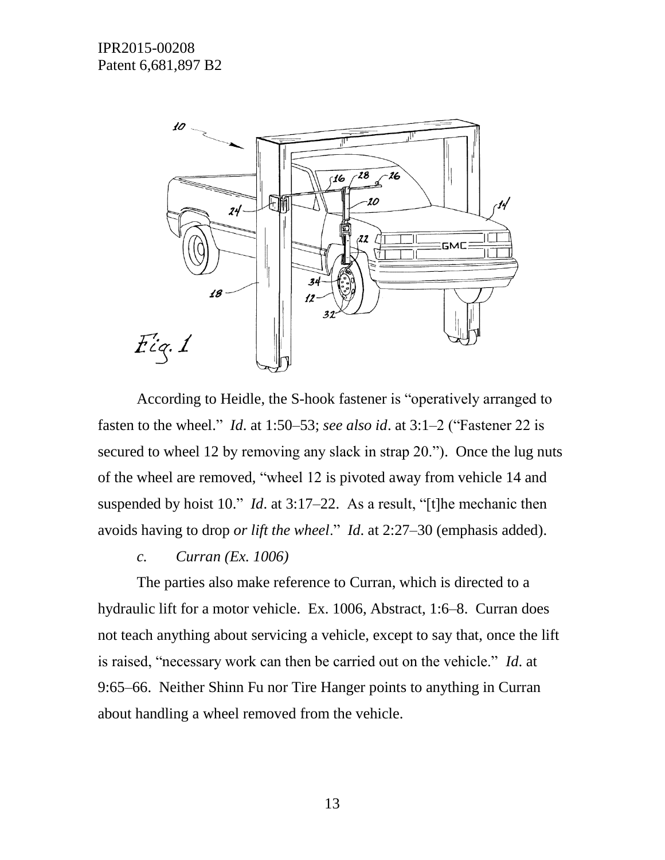

According to Heidle, the S-hook fastener is "operatively arranged to fasten to the wheel." *Id*. at 1:50–53; *see also id*. at 3:1–2 ("Fastener 22 is secured to wheel 12 by removing any slack in strap 20."). Once the lug nuts of the wheel are removed, "wheel 12 is pivoted away from vehicle 14 and suspended by hoist 10." *Id*. at 3:17–22. As a result, "[t]he mechanic then avoids having to drop *or lift the wheel*." *Id*. at 2:27–30 (emphasis added).

*c. Curran (Ex. 1006)*

The parties also make reference to Curran, which is directed to a hydraulic lift for a motor vehicle. Ex. 1006, Abstract, 1:6–8. Curran does not teach anything about servicing a vehicle, except to say that, once the lift is raised, "necessary work can then be carried out on the vehicle." *Id*. at 9:65–66. Neither Shinn Fu nor Tire Hanger points to anything in Curran about handling a wheel removed from the vehicle.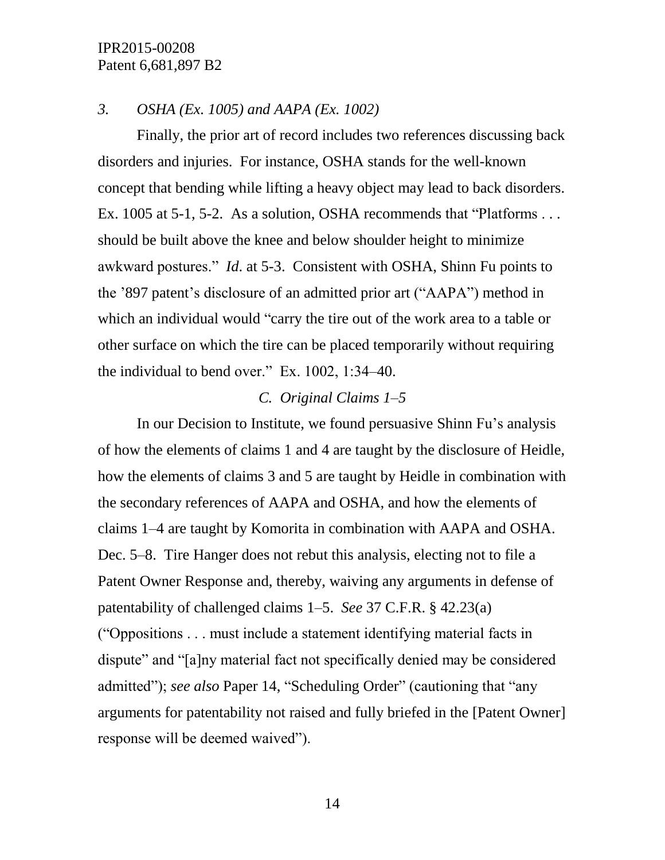## *3. OSHA (Ex. 1005) and AAPA (Ex. 1002)*

Finally, the prior art of record includes two references discussing back disorders and injuries. For instance, OSHA stands for the well-known concept that bending while lifting a heavy object may lead to back disorders. Ex. 1005 at 5-1, 5-2. As a solution, OSHA recommends that "Platforms . . . should be built above the knee and below shoulder height to minimize awkward postures." *Id*. at 5-3. Consistent with OSHA, Shinn Fu points to the '897 patent's disclosure of an admitted prior art ("AAPA") method in which an individual would "carry the tire out of the work area to a table or other surface on which the tire can be placed temporarily without requiring the individual to bend over." Ex. 1002, 1:34–40.

#### *C. Original Claims 1–5*

In our Decision to Institute, we found persuasive Shinn Fu's analysis of how the elements of claims 1 and 4 are taught by the disclosure of Heidle, how the elements of claims 3 and 5 are taught by Heidle in combination with the secondary references of AAPA and OSHA, and how the elements of claims 1–4 are taught by Komorita in combination with AAPA and OSHA. Dec. 5–8. Tire Hanger does not rebut this analysis, electing not to file a Patent Owner Response and, thereby, waiving any arguments in defense of patentability of challenged claims 1–5. *See* 37 C.F.R. § 42.23(a) ("Oppositions . . . must include a statement identifying material facts in dispute" and "[a]ny material fact not specifically denied may be considered admitted"); *see also* Paper 14, "Scheduling Order" (cautioning that "any arguments for patentability not raised and fully briefed in the [Patent Owner] response will be deemed waived").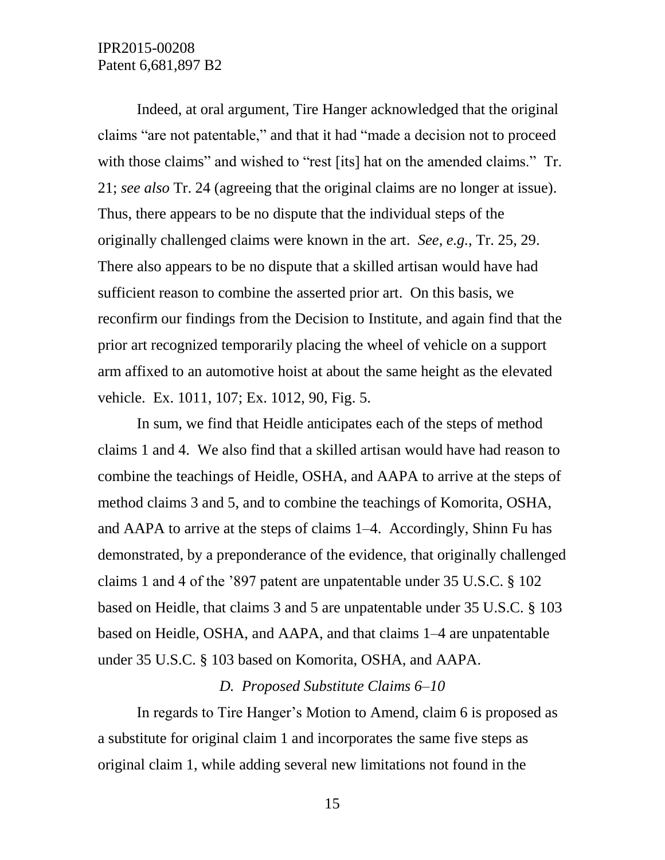Indeed, at oral argument, Tire Hanger acknowledged that the original claims "are not patentable," and that it had "made a decision not to proceed with those claims" and wished to "rest [its] hat on the amended claims." Tr. 21; *see also* Tr. 24 (agreeing that the original claims are no longer at issue). Thus, there appears to be no dispute that the individual steps of the originally challenged claims were known in the art. *See, e.g.*, Tr. 25, 29. There also appears to be no dispute that a skilled artisan would have had sufficient reason to combine the asserted prior art. On this basis, we reconfirm our findings from the Decision to Institute, and again find that the prior art recognized temporarily placing the wheel of vehicle on a support arm affixed to an automotive hoist at about the same height as the elevated vehicle. Ex. 1011, 107; Ex. 1012, 90, Fig. 5.

In sum, we find that Heidle anticipates each of the steps of method claims 1 and 4. We also find that a skilled artisan would have had reason to combine the teachings of Heidle, OSHA, and AAPA to arrive at the steps of method claims 3 and 5, and to combine the teachings of Komorita, OSHA, and AAPA to arrive at the steps of claims 1–4. Accordingly, Shinn Fu has demonstrated, by a preponderance of the evidence, that originally challenged claims 1 and 4 of the '897 patent are unpatentable under 35 U.S.C. § 102 based on Heidle, that claims 3 and 5 are unpatentable under 35 U.S.C. § 103 based on Heidle, OSHA, and AAPA, and that claims 1–4 are unpatentable under 35 U.S.C. § 103 based on Komorita, OSHA, and AAPA.

#### *D. Proposed Substitute Claims 6–10*

In regards to Tire Hanger's Motion to Amend, claim 6 is proposed as a substitute for original claim 1 and incorporates the same five steps as original claim 1, while adding several new limitations not found in the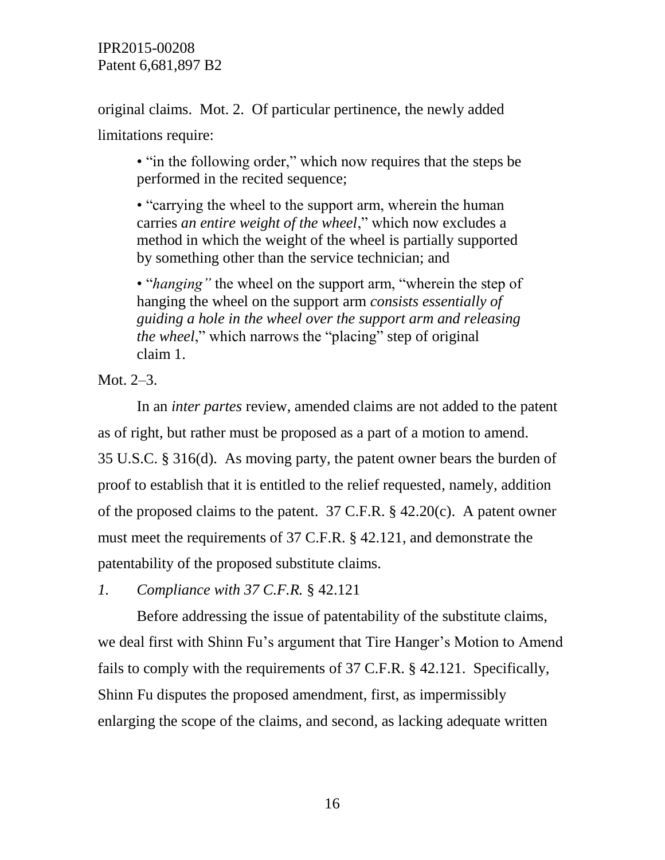original claims. Mot. 2. Of particular pertinence, the newly added limitations require:

• "in the following order," which now requires that the steps be performed in the recited sequence;

• "carrying the wheel to the support arm, wherein the human carries *an entire weight of the wheel*," which now excludes a method in which the weight of the wheel is partially supported by something other than the service technician; and

• "*hanging"* the wheel on the support arm, "wherein the step of hanging the wheel on the support arm *consists essentially of guiding a hole in the wheel over the support arm and releasing the wheel*," which narrows the "placing" step of original claim 1.

Mot. 2–3.

In an *inter partes* review, amended claims are not added to the patent as of right, but rather must be proposed as a part of a motion to amend. 35 U.S.C. § 316(d). As moving party, the patent owner bears the burden of proof to establish that it is entitled to the relief requested, namely, addition of the proposed claims to the patent. 37 C.F.R. § 42.20(c). A patent owner must meet the requirements of 37 C.F.R. § 42.121, and demonstrate the patentability of the proposed substitute claims.

*1. Compliance with 37 C.F.R.* § 42.121

Before addressing the issue of patentability of the substitute claims, we deal first with Shinn Fu's argument that Tire Hanger's Motion to Amend fails to comply with the requirements of 37 C.F.R. § 42.121. Specifically, Shinn Fu disputes the proposed amendment, first, as impermissibly enlarging the scope of the claims, and second, as lacking adequate written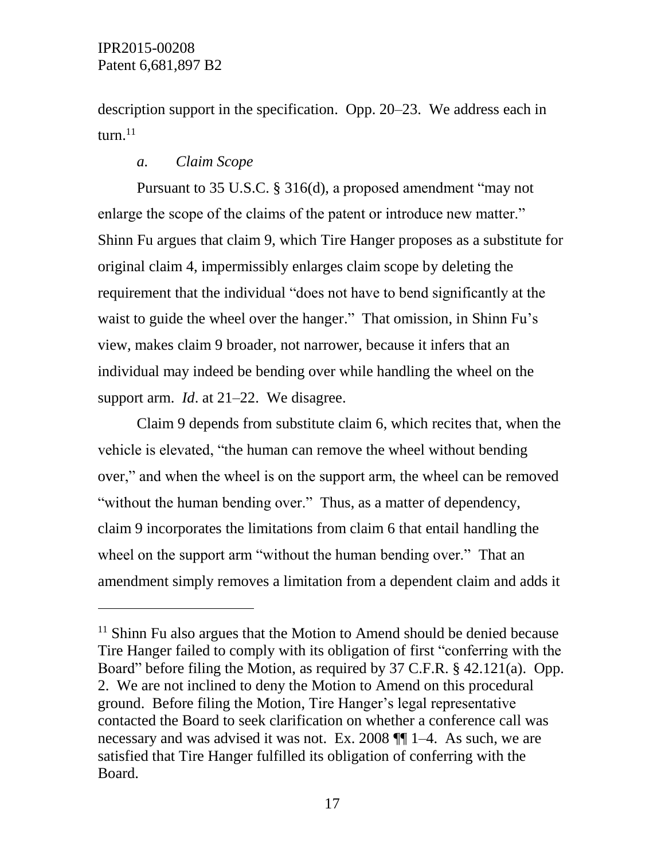$\overline{a}$ 

description support in the specification. Opp. 20–23. We address each in  $turn<sup>.11</sup>$ 

# *a. Claim Scope*

Pursuant to 35 U.S.C. § 316(d), a proposed amendment "may not enlarge the scope of the claims of the patent or introduce new matter." Shinn Fu argues that claim 9, which Tire Hanger proposes as a substitute for original claim 4, impermissibly enlarges claim scope by deleting the requirement that the individual "does not have to bend significantly at the waist to guide the wheel over the hanger." That omission, in Shinn Fu's view, makes claim 9 broader, not narrower, because it infers that an individual may indeed be bending over while handling the wheel on the support arm. *Id*. at 21–22. We disagree.

Claim 9 depends from substitute claim 6, which recites that, when the vehicle is elevated, "the human can remove the wheel without bending over," and when the wheel is on the support arm, the wheel can be removed "without the human bending over." Thus, as a matter of dependency, claim 9 incorporates the limitations from claim 6 that entail handling the wheel on the support arm "without the human bending over." That an amendment simply removes a limitation from a dependent claim and adds it

 $11$  Shinn Fu also argues that the Motion to Amend should be denied because Tire Hanger failed to comply with its obligation of first "conferring with the Board" before filing the Motion, as required by 37 C.F.R. § 42.121(a). Opp. 2. We are not inclined to deny the Motion to Amend on this procedural ground. Before filing the Motion, Tire Hanger's legal representative contacted the Board to seek clarification on whether a conference call was necessary and was advised it was not. Ex. 2008 ¶¶ 1–4. As such, we are satisfied that Tire Hanger fulfilled its obligation of conferring with the Board.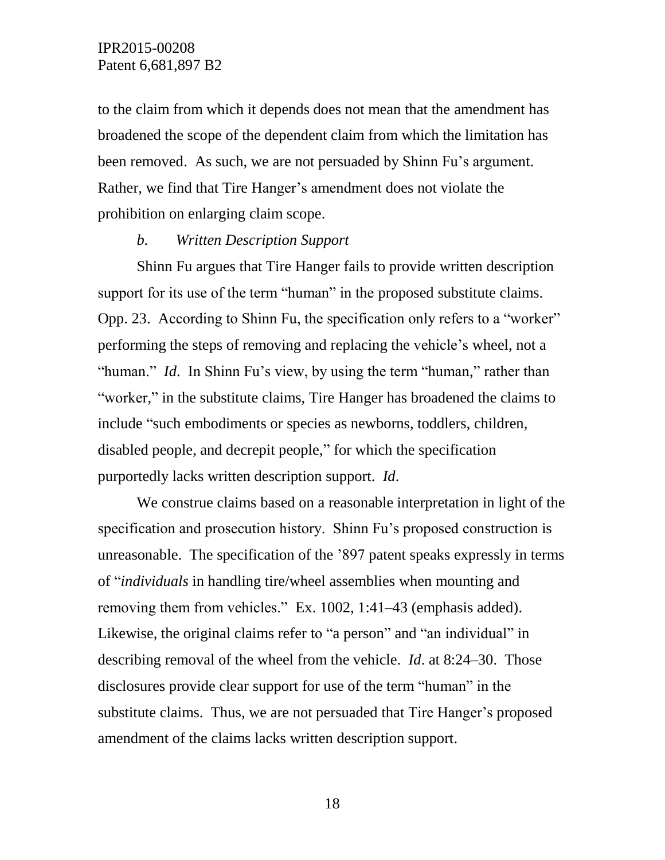to the claim from which it depends does not mean that the amendment has broadened the scope of the dependent claim from which the limitation has been removed. As such, we are not persuaded by Shinn Fu's argument. Rather, we find that Tire Hanger's amendment does not violate the prohibition on enlarging claim scope.

#### *b. Written Description Support*

Shinn Fu argues that Tire Hanger fails to provide written description support for its use of the term "human" in the proposed substitute claims. Opp. 23. According to Shinn Fu, the specification only refers to a "worker" performing the steps of removing and replacing the vehicle's wheel, not a "human." *Id.* In Shinn Fu's view, by using the term "human," rather than "worker," in the substitute claims, Tire Hanger has broadened the claims to include "such embodiments or species as newborns, toddlers, children, disabled people, and decrepit people," for which the specification purportedly lacks written description support. *Id*.

We construe claims based on a reasonable interpretation in light of the specification and prosecution history. Shinn Fu's proposed construction is unreasonable. The specification of the '897 patent speaks expressly in terms of "*individuals* in handling tire/wheel assemblies when mounting and removing them from vehicles." Ex. 1002, 1:41–43 (emphasis added). Likewise, the original claims refer to "a person" and "an individual" in describing removal of the wheel from the vehicle. *Id*. at 8:24–30. Those disclosures provide clear support for use of the term "human" in the substitute claims. Thus, we are not persuaded that Tire Hanger's proposed amendment of the claims lacks written description support.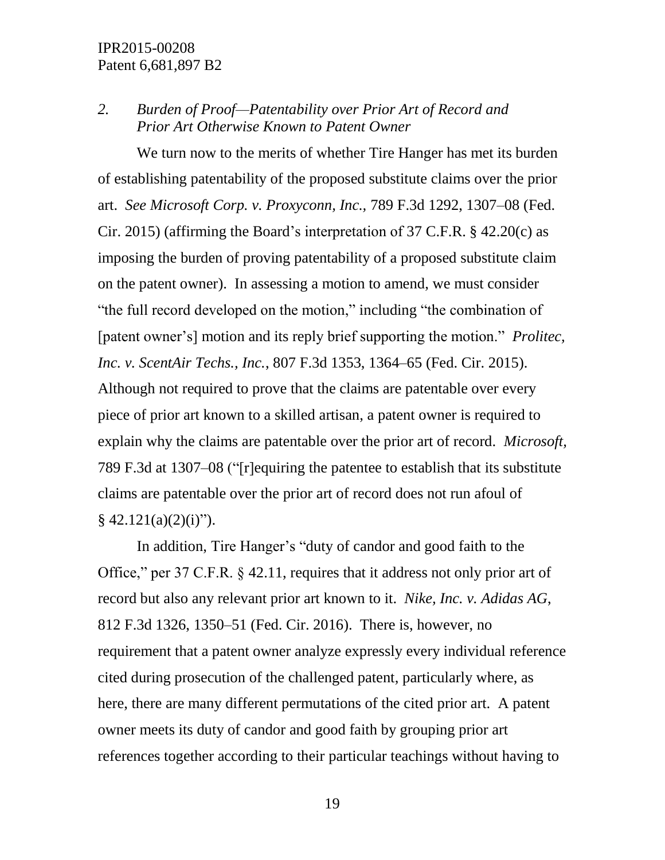# *2. Burden of Proof—Patentability over Prior Art of Record and Prior Art Otherwise Known to Patent Owner*

We turn now to the merits of whether Tire Hanger has met its burden of establishing patentability of the proposed substitute claims over the prior art. *See Microsoft Corp. v. Proxyconn, Inc.,* 789 F.3d 1292, 1307–08 (Fed. Cir. 2015) (affirming the Board's interpretation of 37 C.F.R. § 42.20(c) as imposing the burden of proving patentability of a proposed substitute claim on the patent owner). In assessing a motion to amend, we must consider "the full record developed on the motion," including "the combination of [patent owner's] motion and its reply brief supporting the motion." *Prolitec, Inc. v. ScentAir Techs., Inc.*, 807 F.3d 1353, 1364–65 (Fed. Cir. 2015). Although not required to prove that the claims are patentable over every piece of prior art known to a skilled artisan, a patent owner is required to explain why the claims are patentable over the prior art of record. *Microsoft,*  789 F.3d at 1307–08 ("[r]equiring the patentee to establish that its substitute claims are patentable over the prior art of record does not run afoul of  $§$  42.121(a)(2)(i)").

In addition, Tire Hanger's "duty of candor and good faith to the Office," per 37 C.F.R. § 42.11, requires that it address not only prior art of record but also any relevant prior art known to it. *Nike, Inc. v. Adidas AG*, 812 F.3d 1326, 1350–51 (Fed. Cir. 2016). There is, however, no requirement that a patent owner analyze expressly every individual reference cited during prosecution of the challenged patent, particularly where, as here, there are many different permutations of the cited prior art. A patent owner meets its duty of candor and good faith by grouping prior art references together according to their particular teachings without having to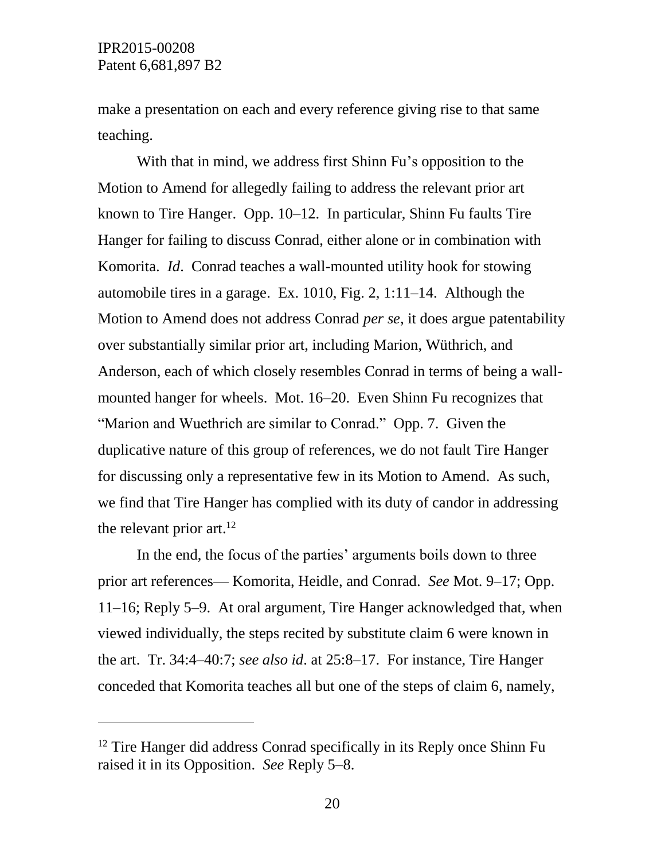$\overline{a}$ 

make a presentation on each and every reference giving rise to that same teaching.

With that in mind, we address first Shinn Fu's opposition to the Motion to Amend for allegedly failing to address the relevant prior art known to Tire Hanger. Opp. 10–12. In particular, Shinn Fu faults Tire Hanger for failing to discuss Conrad, either alone or in combination with Komorita. *Id*. Conrad teaches a wall-mounted utility hook for stowing automobile tires in a garage. Ex. 1010, Fig. 2, 1:11–14. Although the Motion to Amend does not address Conrad *per se*, it does argue patentability over substantially similar prior art, including Marion, Wüthrich, and Anderson, each of which closely resembles Conrad in terms of being a wallmounted hanger for wheels. Mot. 16–20. Even Shinn Fu recognizes that "Marion and Wuethrich are similar to Conrad." Opp. 7. Given the duplicative nature of this group of references, we do not fault Tire Hanger for discussing only a representative few in its Motion to Amend. As such, we find that Tire Hanger has complied with its duty of candor in addressing the relevant prior art.<sup>12</sup>

In the end, the focus of the parties' arguments boils down to three prior art references— Komorita, Heidle, and Conrad. *See* Mot. 9–17; Opp. 11–16; Reply 5–9. At oral argument, Tire Hanger acknowledged that, when viewed individually, the steps recited by substitute claim 6 were known in the art. Tr. 34:4–40:7; *see also id*. at 25:8–17. For instance, Tire Hanger conceded that Komorita teaches all but one of the steps of claim 6, namely,

<sup>&</sup>lt;sup>12</sup> Tire Hanger did address Conrad specifically in its Reply once Shinn Fu raised it in its Opposition. *See* Reply 5–8.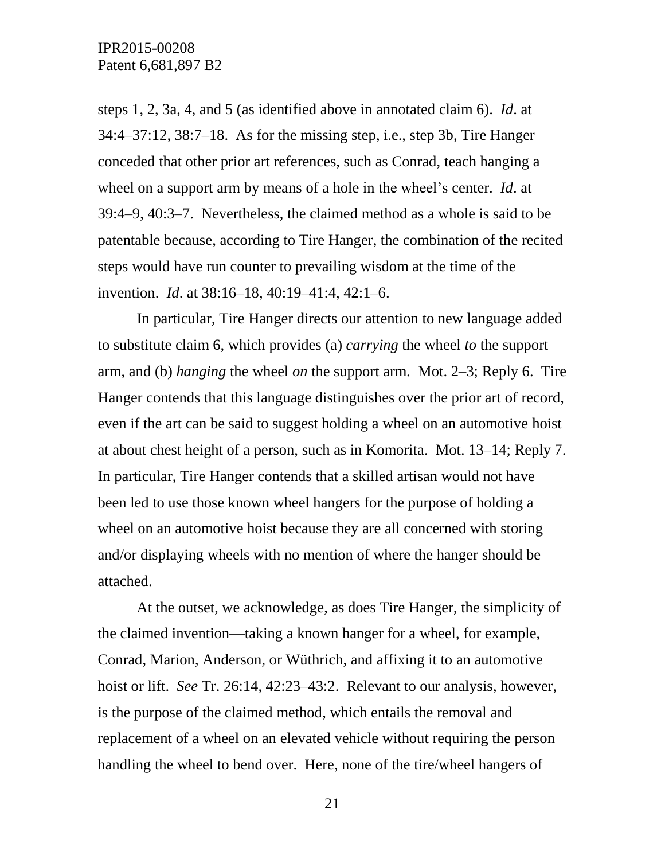steps 1, 2, 3a, 4, and 5 (as identified above in annotated claim 6). *Id*. at 34:4–37:12, 38:7–18. As for the missing step, i.e., step 3b, Tire Hanger conceded that other prior art references, such as Conrad, teach hanging a wheel on a support arm by means of a hole in the wheel's center. *Id*. at 39:4–9, 40:3–7. Nevertheless, the claimed method as a whole is said to be patentable because, according to Tire Hanger, the combination of the recited steps would have run counter to prevailing wisdom at the time of the invention. *Id*. at 38:16–18, 40:19–41:4, 42:1–6.

In particular, Tire Hanger directs our attention to new language added to substitute claim 6, which provides (a) *carrying* the wheel *to* the support arm, and (b) *hanging* the wheel *on* the support arm. Mot. 2–3; Reply 6. Tire Hanger contends that this language distinguishes over the prior art of record, even if the art can be said to suggest holding a wheel on an automotive hoist at about chest height of a person, such as in Komorita. Mot. 13–14; Reply 7. In particular, Tire Hanger contends that a skilled artisan would not have been led to use those known wheel hangers for the purpose of holding a wheel on an automotive hoist because they are all concerned with storing and/or displaying wheels with no mention of where the hanger should be attached.

At the outset, we acknowledge, as does Tire Hanger, the simplicity of the claimed invention—taking a known hanger for a wheel, for example, Conrad, Marion, Anderson, or Wüthrich, and affixing it to an automotive hoist or lift. *See* Tr. 26:14, 42:23–43:2. Relevant to our analysis, however, is the purpose of the claimed method, which entails the removal and replacement of a wheel on an elevated vehicle without requiring the person handling the wheel to bend over. Here, none of the tire/wheel hangers of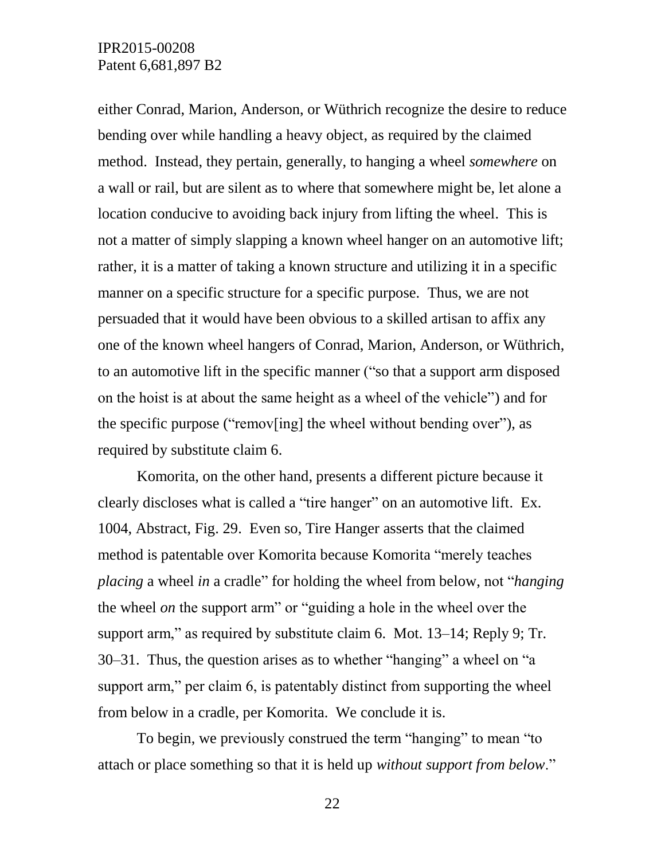either Conrad, Marion, Anderson, or Wüthrich recognize the desire to reduce bending over while handling a heavy object, as required by the claimed method. Instead, they pertain, generally, to hanging a wheel *somewhere* on a wall or rail, but are silent as to where that somewhere might be, let alone a location conducive to avoiding back injury from lifting the wheel. This is not a matter of simply slapping a known wheel hanger on an automotive lift; rather, it is a matter of taking a known structure and utilizing it in a specific manner on a specific structure for a specific purpose. Thus, we are not persuaded that it would have been obvious to a skilled artisan to affix any one of the known wheel hangers of Conrad, Marion, Anderson, or Wüthrich, to an automotive lift in the specific manner ("so that a support arm disposed on the hoist is at about the same height as a wheel of the vehicle") and for the specific purpose ("remov[ing] the wheel without bending over"), as required by substitute claim 6.

Komorita, on the other hand, presents a different picture because it clearly discloses what is called a "tire hanger" on an automotive lift. Ex. 1004, Abstract, Fig. 29. Even so, Tire Hanger asserts that the claimed method is patentable over Komorita because Komorita "merely teaches *placing* a wheel *in* a cradle" for holding the wheel from below, not "*hanging* the wheel *on* the support arm" or "guiding a hole in the wheel over the support arm," as required by substitute claim 6. Mot. 13–14; Reply 9; Tr. 30–31. Thus, the question arises as to whether "hanging" a wheel on "a support arm," per claim 6, is patentably distinct from supporting the wheel from below in a cradle, per Komorita. We conclude it is.

To begin, we previously construed the term "hanging" to mean "to attach or place something so that it is held up *without support from below*."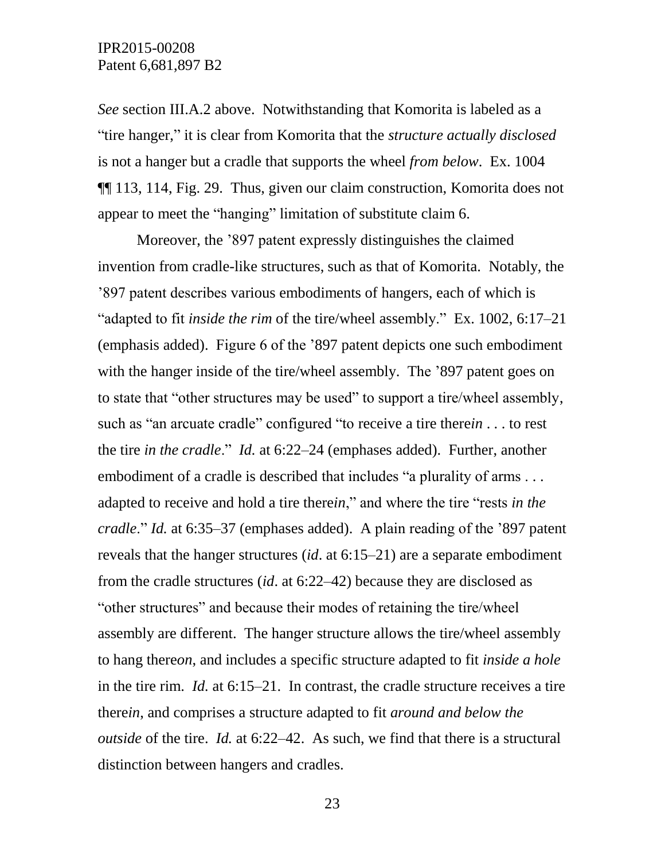*See* section III.A.2 above. Notwithstanding that Komorita is labeled as a "tire hanger," it is clear from Komorita that the *structure actually disclosed*  is not a hanger but a cradle that supports the wheel *from below*. Ex. 1004 ¶¶ 113, 114, Fig. 29. Thus, given our claim construction, Komorita does not appear to meet the "hanging" limitation of substitute claim 6.

Moreover, the '897 patent expressly distinguishes the claimed invention from cradle-like structures, such as that of Komorita. Notably, the '897 patent describes various embodiments of hangers, each of which is "adapted to fit *inside the rim* of the tire/wheel assembly." Ex. 1002, 6:17–21 (emphasis added). Figure 6 of the '897 patent depicts one such embodiment with the hanger inside of the tire/wheel assembly. The '897 patent goes on to state that "other structures may be used" to support a tire/wheel assembly, such as "an arcuate cradle" configured "to receive a tire there*in* . . . to rest the tire *in the cradle*." *Id.* at 6:22–24 (emphases added). Further, another embodiment of a cradle is described that includes "a plurality of arms . . . adapted to receive and hold a tire there*in*," and where the tire "rests *in the cradle*." *Id.* at 6:35–37 (emphases added). A plain reading of the '897 patent reveals that the hanger structures (*id*. at 6:15–21) are a separate embodiment from the cradle structures (*id*. at 6:22–42) because they are disclosed as "other structures" and because their modes of retaining the tire/wheel assembly are different. The hanger structure allows the tire/wheel assembly to hang there*on*, and includes a specific structure adapted to fit *inside a hole*  in the tire rim. *Id.* at 6:15–21. In contrast, the cradle structure receives a tire there*in*, and comprises a structure adapted to fit *around and below the outside* of the tire. *Id.* at 6:22–42. As such, we find that there is a structural distinction between hangers and cradles.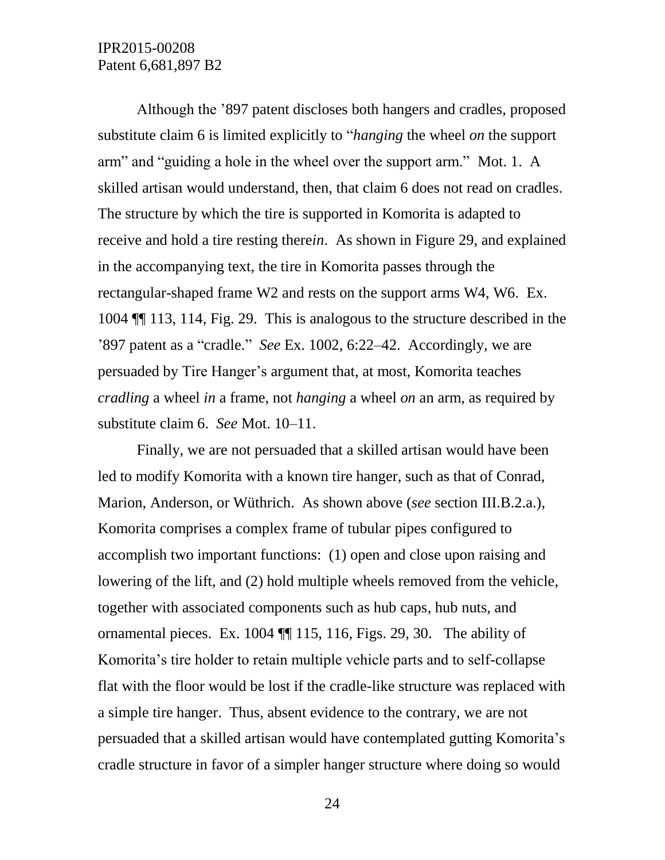Although the '897 patent discloses both hangers and cradles, proposed substitute claim 6 is limited explicitly to "*hanging* the wheel *on* the support arm" and "guiding a hole in the wheel over the support arm." Mot. 1. A skilled artisan would understand, then, that claim 6 does not read on cradles. The structure by which the tire is supported in Komorita is adapted to receive and hold a tire resting there*in*. As shown in Figure 29, and explained in the accompanying text, the tire in Komorita passes through the rectangular-shaped frame W2 and rests on the support arms W4, W6. Ex. 1004 ¶¶ 113, 114, Fig. 29. This is analogous to the structure described in the '897 patent as a "cradle." *See* Ex. 1002, 6:22–42. Accordingly, we are persuaded by Tire Hanger's argument that, at most, Komorita teaches *cradling* a wheel *in* a frame, not *hanging* a wheel *on* an arm, as required by substitute claim 6. *See* Mot. 10–11.

Finally, we are not persuaded that a skilled artisan would have been led to modify Komorita with a known tire hanger, such as that of Conrad, Marion, Anderson, or Wüthrich. As shown above (*see* section III.B.2.a.), Komorita comprises a complex frame of tubular pipes configured to accomplish two important functions: (1) open and close upon raising and lowering of the lift, and (2) hold multiple wheels removed from the vehicle, together with associated components such as hub caps, hub nuts, and ornamental pieces. Ex. 1004 ¶¶ 115, 116, Figs. 29, 30. The ability of Komorita's tire holder to retain multiple vehicle parts and to self-collapse flat with the floor would be lost if the cradle-like structure was replaced with a simple tire hanger. Thus, absent evidence to the contrary, we are not persuaded that a skilled artisan would have contemplated gutting Komorita's cradle structure in favor of a simpler hanger structure where doing so would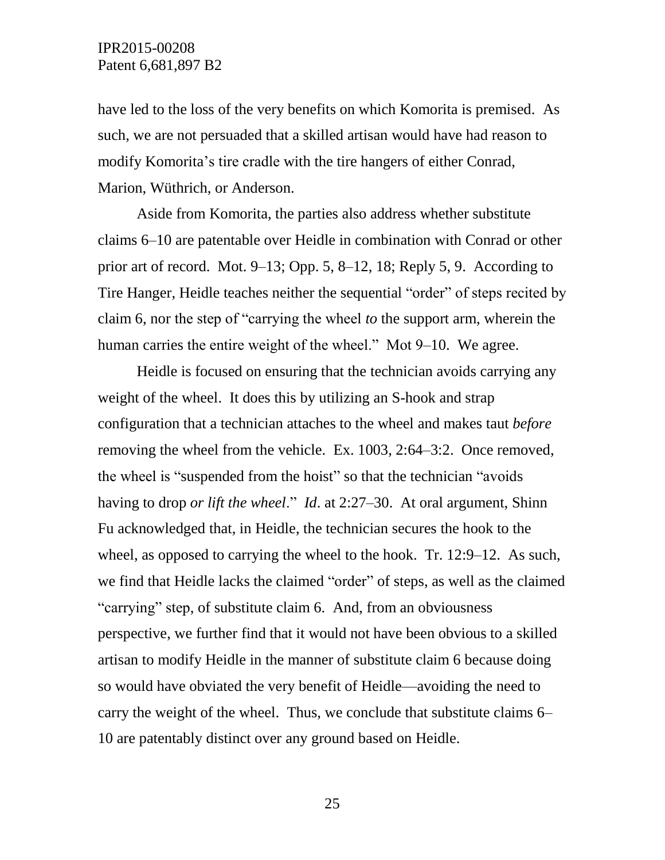have led to the loss of the very benefits on which Komorita is premised. As such, we are not persuaded that a skilled artisan would have had reason to modify Komorita's tire cradle with the tire hangers of either Conrad, Marion, Wüthrich, or Anderson.

Aside from Komorita, the parties also address whether substitute claims 6–10 are patentable over Heidle in combination with Conrad or other prior art of record. Mot. 9–13; Opp. 5, 8–12, 18; Reply 5, 9. According to Tire Hanger, Heidle teaches neither the sequential "order" of steps recited by claim 6, nor the step of "carrying the wheel *to* the support arm, wherein the human carries the entire weight of the wheel." Mot 9–10. We agree.

Heidle is focused on ensuring that the technician avoids carrying any weight of the wheel. It does this by utilizing an S-hook and strap configuration that a technician attaches to the wheel and makes taut *before* removing the wheel from the vehicle. Ex. 1003, 2:64–3:2. Once removed, the wheel is "suspended from the hoist" so that the technician "avoids having to drop *or lift the wheel*." *Id*. at 2:27–30. At oral argument, Shinn Fu acknowledged that, in Heidle, the technician secures the hook to the wheel, as opposed to carrying the wheel to the hook. Tr. 12:9–12. As such, we find that Heidle lacks the claimed "order" of steps, as well as the claimed "carrying" step, of substitute claim 6. And, from an obviousness perspective, we further find that it would not have been obvious to a skilled artisan to modify Heidle in the manner of substitute claim 6 because doing so would have obviated the very benefit of Heidle—avoiding the need to carry the weight of the wheel. Thus, we conclude that substitute claims 6– 10 are patentably distinct over any ground based on Heidle.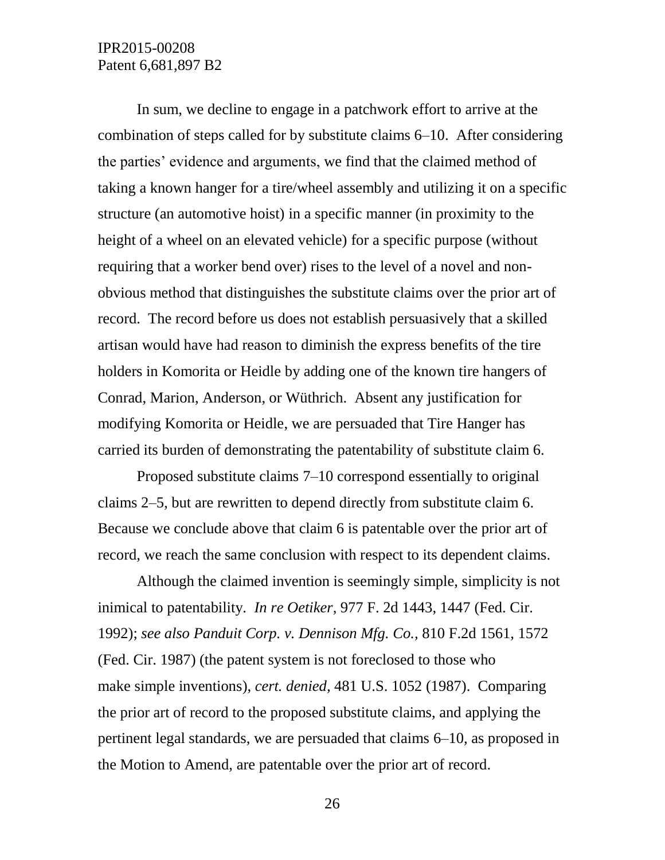In sum, we decline to engage in a patchwork effort to arrive at the combination of steps called for by substitute claims 6–10. After considering the parties' evidence and arguments, we find that the claimed method of taking a known hanger for a tire/wheel assembly and utilizing it on a specific structure (an automotive hoist) in a specific manner (in proximity to the height of a wheel on an elevated vehicle) for a specific purpose (without requiring that a worker bend over) rises to the level of a novel and nonobvious method that distinguishes the substitute claims over the prior art of record. The record before us does not establish persuasively that a skilled artisan would have had reason to diminish the express benefits of the tire holders in Komorita or Heidle by adding one of the known tire hangers of Conrad, Marion, Anderson, or Wüthrich. Absent any justification for modifying Komorita or Heidle, we are persuaded that Tire Hanger has carried its burden of demonstrating the patentability of substitute claim 6.

Proposed substitute claims 7–10 correspond essentially to original claims 2–5, but are rewritten to depend directly from substitute claim 6. Because we conclude above that claim 6 is patentable over the prior art of record, we reach the same conclusion with respect to its dependent claims.

Although the claimed invention is seemingly simple, simplicity is not inimical to patentability. *In re Oetiker*, 977 F. 2d 1443, 1447 (Fed. Cir. 1992); *see also Panduit Corp. v. Dennison Mfg. Co.,* 810 F.2d 1561, 1572 (Fed. Cir. 1987) (the patent system is not foreclosed to those who make simple inventions), *cert. denied,* 481 U.S. 1052 (1987). Comparing the prior art of record to the proposed substitute claims, and applying the pertinent legal standards, we are persuaded that claims 6–10, as proposed in the Motion to Amend, are patentable over the prior art of record.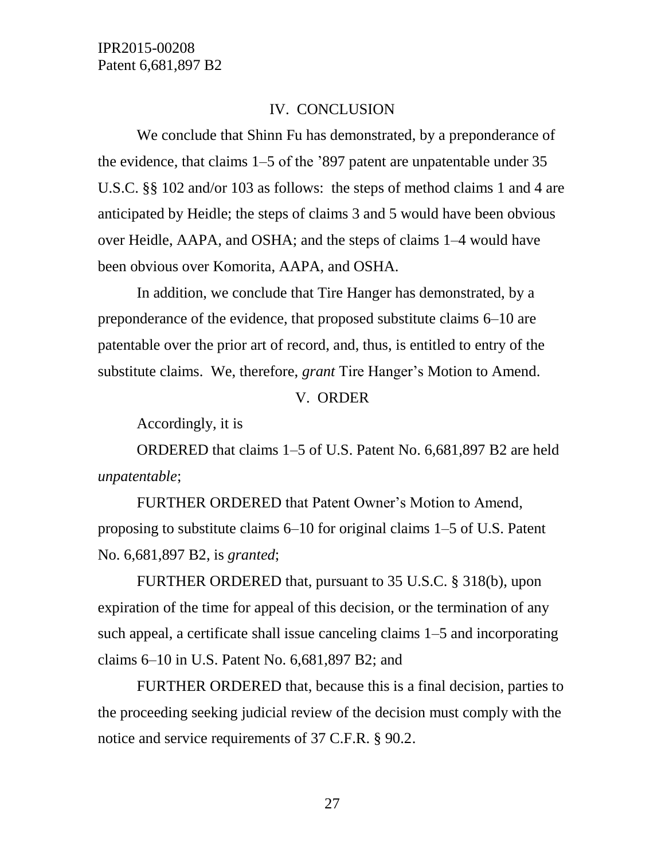#### IV. CONCLUSION

We conclude that Shinn Fu has demonstrated, by a preponderance of the evidence, that claims 1–5 of the '897 patent are unpatentable under 35 U.S.C. §§ 102 and/or 103 as follows: the steps of method claims 1 and 4 are anticipated by Heidle; the steps of claims 3 and 5 would have been obvious over Heidle, AAPA, and OSHA; and the steps of claims 1–4 would have been obvious over Komorita, AAPA, and OSHA.

In addition, we conclude that Tire Hanger has demonstrated, by a preponderance of the evidence, that proposed substitute claims 6–10 are patentable over the prior art of record, and, thus, is entitled to entry of the substitute claims. We, therefore, *grant* Tire Hanger's Motion to Amend.

#### V. ORDER

Accordingly, it is

ORDERED that claims 1–5 of U.S. Patent No. 6,681,897 B2 are held *unpatentable*;

FURTHER ORDERED that Patent Owner's Motion to Amend, proposing to substitute claims 6–10 for original claims 1–5 of U.S. Patent No. 6,681,897 B2, is *granted*;

FURTHER ORDERED that, pursuant to 35 U.S.C. § 318(b), upon expiration of the time for appeal of this decision, or the termination of any such appeal, a certificate shall issue canceling claims 1–5 and incorporating claims 6–10 in U.S. Patent No. 6,681,897 B2; and

FURTHER ORDERED that, because this is a final decision, parties to the proceeding seeking judicial review of the decision must comply with the notice and service requirements of 37 C.F.R. § 90.2.